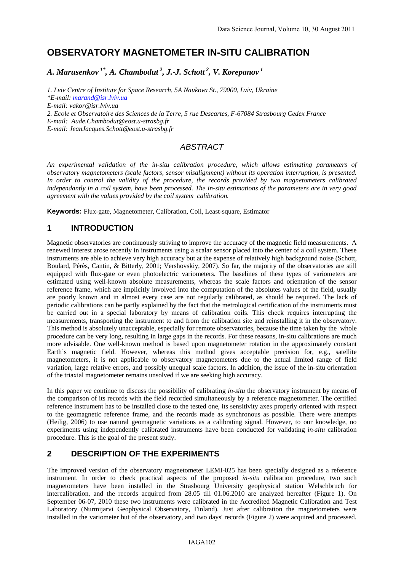# **OBSERVATORY MAGNETOMETER IN-SITU CALIBRATION**

*A. Marusenkov 1\*, A. Chambodut 2, J.-J. Schott 2, V. Korepanov 1* 

*1. Lviv Centre of Institute for Space Research, 5A Naukova St., 79000, Lviv, Ukraine \*E-mail: marand@isr.lviv.ua E-mail: vakor@isr.lviv.ua 2. Ecole et Observatoire des Sciences de la Terre, 5 rue Descartes, F-67084 Strasbourg Cedex France E-mail: Aude.Chambodut@eost.u-strasbg.fr E-mail: JeanJacques.Schott@eost.u-strasbg.fr* 

### *ABSTRACT*

*An experimental validation of the in-situ calibration procedure, which allows estimating parameters of observatory magnetometers (scale factors, sensor misalignment) without its operation interruption, is presented. In order to control the validity of the procedure, the records provided by two magnetometers calibrated independantly in a coil system, have been processed. The in-situ estimations of the parameters are in very good agreement with the values provided by the coil system calibration.* 

**Keywords:** Flux-gate, Magnetometer, Calibration, Coil, Least-square, Estimator

### **1 INTRODUCTION**

Magnetic observatories are continuously striving to improve the accuracy of the magnetic field measurements. A renewed interest arose recently in instruments using a scalar sensor placed into the center of a coil system. These instruments are able to achieve very high accuracy but at the expense of relatively high background noise (Schott, Boulard, Pérès, Cantin, & Bitterly, 2001; Vershovskiy, 2007). So far, the majority of the observatories are still equipped with flux-gate or even photoelectric variometers. The baselines of these types of variometers are estimated using well-known absolute measurements, whereas the scale factors and orientation of the sensor reference frame, which are implicitly involved into the computation of the absolutes values of the field, usually are poorly known and in almost every case are not regularly calibrated, as should be required. The lack of periodic calibrations can be partly explained by the fact that the metrological certification of the instruments must be carried out in a special laboratory by means of calibration coils. This check requires interrupting the measurements, transporting the instrument to and from the calibration site and reinstalling it in the observatory. This method is absolutely unacceptable, especially for remote observatories, because the time taken by the whole procedure can be very long, resulting in large gaps in the records. For these reasons, in-situ calibrations are much more advisable. One well-known method is based upon magnetometer rotation in the approximately constant Earth's magnetic field. However, whereas this method gives acceptable precision for, e.g., satellite magnetometers, it is not applicable to observatory magnetometers due to the actual limited range of field variation, large relative errors, and possibly unequal scale factors. In addition, the issue of the in-situ orientation of the triaxial magnetometer remains unsolved if we are seeking high accuracy.

In this paper we continue to discuss the possibility of calibrating *in-situ* the observatory instrument by means of the comparison of its records with the field recorded simultaneously by a reference magnetometer. The certified reference instrument has to be installed close to the tested one, its sensitivity axes properly oriented with respect to the geomagnetic reference frame, and the records made as synchronous as possible. There were attempts (Heilig, 2006) to use natural geomagnetic variations as a calibrating signal. However, to our knowledge, no experiments using independently calibrated instruments have been conducted for validating *in-situ* calibration procedure. This is the goal of the present study.

### **2 DESCRIPTION OF THE EXPERIMENTS**

The improved version of the observatory magnetometer LEMI-025 has been specially designed as a reference instrument. In order to check practical aspects of the proposed *in-situ* calibration procedure, two such magnetometers have been installed in the Strasbourg University geophysical station Welschbruch for intercalibration, and the records acquired from 28.05 till 01.06.2010 are analyzed hereafter (Figure 1). On September 06-07, 2010 these two instruments were calibrated in the Accredited Magnetic Calibration and Test Laboratory (Nurmijarvi Geophysical Observatory, Finland). Just after calibration the magnetometers were installed in the variometer hut of the observatory, and two days' records (Figure 2) were acquired and processed.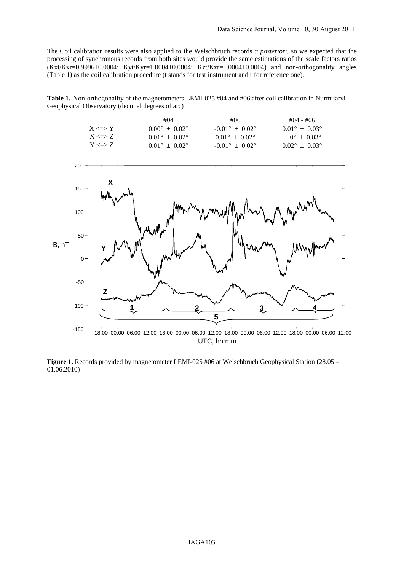The Coil calibration results were also applied to the Welschbruch records *a posteriori*, so we expected that the processing of synchronous records from both sites would provide the same estimations of the scale factors ratios (Kxt/Kxr=0.9996±0.0004; Kyt/Kyr=1.0004±0.0004; Kzt/Kzr=1.0004±0.0004) and non-orthogonality angles (Table 1) as the coil calibration procedure (t stands for test instrument and r for reference one).

**Table 1.** Non-orthogonality of the magnetometers LEMI-025 #04 and #06 after coil calibration in Nurmijarvi Geophysical Observatory (decimal degrees of arc)

|              | #04                             | #06                            | #04 - #06                       |
|--------------|---------------------------------|--------------------------------|---------------------------------|
| $X \leq Y$   | $0.00^{\circ} \pm 0.02^{\circ}$ | $-0.01^{\circ} + 0.02^{\circ}$ | $0.01^{\circ} \pm 0.03^{\circ}$ |
| $X \leq S Z$ | $0.01^{\circ} + 0.02^{\circ}$   | $0.01^{\circ} + 0.02^{\circ}$  | $0^{\circ} + 0.03^{\circ}$      |
| $Y \leq Y Z$ | $0.01^{\circ} + 0.02^{\circ}$   | $-0.01^{\circ} + 0.02^{\circ}$ | $0.02^{\circ} \pm 0.03^{\circ}$ |



UTC, hh:mm

**Figure 1.** Records provided by magnetometer LEMI-025 #06 at Welschbruch Geophysical Station (28.05 – 01.06.2010)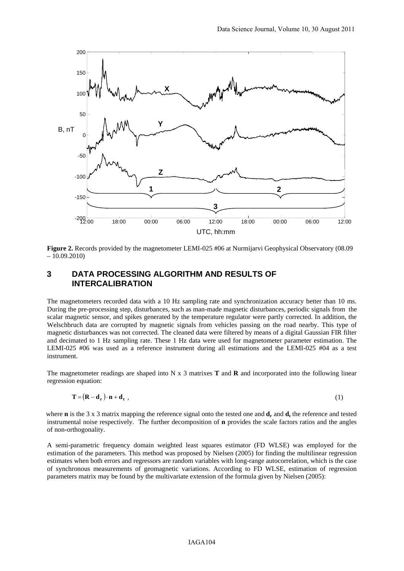

**Figure 2.** Records provided by the magnetometer LEMI-025 #06 at Nurmijarvi Geophysical Observatory (08.09  $-10.09.2010$ 

### **3 DATA PROCESSING ALGORITHM AND RESULTS OF INTERCALIBRATION**

The magnetometers recorded data with a 10 Hz sampling rate and synchronization accuracy better than 10 ms. During the pre-processing step, disturbances, such as man-made magnetic disturbances, periodic signals from the scalar magnetic sensor, and spikes generated by the temperature regulator were partly corrected. In addition, the Welschbruch data are corrupted by magnetic signals from vehicles passing on the road nearby. This type of magnetic disturbances was not corrected. The cleaned data were filtered by means of a digital Gaussian FIR filter and decimated to 1 Hz sampling rate. These 1 Hz data were used for magnetometer parameter estimation. The LEMI-025 #06 was used as a reference instrument during all estimations and the LEMI-025 #04 as a test instrument.

The magnetometer readings are shaped into N x 3 matrixes **T** and **R** and incorporated into the following linear regression equation:

$$
\mathbf{T} = (\mathbf{R} - \mathbf{d}_{\mathbf{r}}) \cdot \mathbf{n} + \mathbf{d}_{\mathbf{t}} \tag{1}
$$

where **n** is the 3 x 3 matrix mapping the reference signal onto the tested one and  $\mathbf{d}_r$  and  $\mathbf{d}_t$  the reference and tested instrumental noise respectively. The further decomposition of **n** provides the scale factors ratios and the angles of non-orthogonality.

A semi-parametric frequency domain weighted least squares estimator (FD WLSE) was employed for the estimation of the parameters. This method was proposed by Nielsen (2005) for finding the multilinear regression estimates when both errors and regressors are random variables with long-range autocorrelation, which is the case of synchronous measurements of geomagnetic variations. According to FD WLSE, estimation of regression parameters matrix may be found by the multivariate extension of the formula given by Nielsen (2005):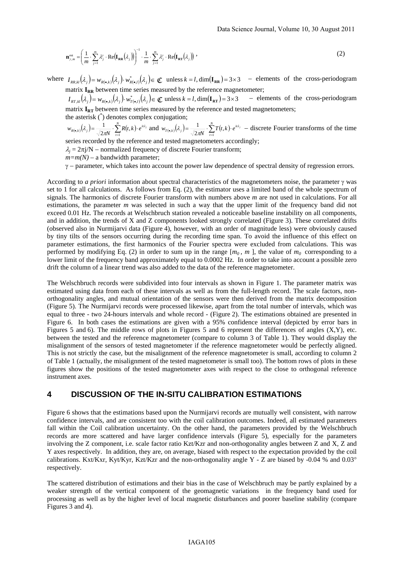$$
\mathbf{n}_{\gamma,m}^{\text{est}} = \left(\frac{1}{m} \cdot \sum_{j=1}^{m} \lambda_j^{\gamma} \cdot \text{Re}(\mathbf{I}_{\mathbf{R}\mathbf{R}}(\lambda_j))\right)^{-1} \cdot \frac{1}{m} \cdot \sum_{j=1}^{m} \lambda_j^{\gamma} \cdot \text{Re}(\mathbf{I}_{\mathbf{R}\mathbf{T}}(\lambda_j))
$$
\n(2)

where  $I_{RR,kl}(\lambda_i) = w_{R(\bullet,k)}(\lambda_i) \cdot w_{R(\bullet,l)}^*(\lambda_i) \in \mathbb{C}$  unless  $k = l$ , dim( $\mathbf{I_{RR}} = 3 \times 3$  – elements of the cross-periodogram matrix  $I_{RR}$  between time series measured by the reference magnetometer;

 $I_{RT,kl}(\lambda_j) = w_{R(\bullet,k)}(\lambda_j) \cdot w_{T(\bullet,l)}^*(\lambda_j) \in \mathbb{C}$  unless  $k = l$ , dim( $\mathbf{I_{RT}}$ ) = 3×3 – elements of the cross-periodogram matrix  $I_{RT}$  between time series measured by the reference and tested magnetometers;

the asterisk (\* ) denotes complex conjugation;

$$
w_{R(\bullet,k)}(\lambda_j) = \frac{1}{\sqrt{2\pi N}} \cdot \sum_{i=1}^N R(t,k) \cdot e^{it\lambda_j} \text{ and } w_{T(\bullet,k)}(\lambda_j) = \frac{1}{\sqrt{2\pi N}} \cdot \sum_{i=1}^N T(t,k) \cdot e^{it\lambda_j} \quad \text{discrete Fourier transforms of the time}
$$

series recorded by the reference and tested magnetometers accordingly;

 $\lambda_i = 2\pi i/N$  – normalized frequency of discrete Fourier transform;

 $m=m(N)$  – a bandwidth parameter;

γ − parameter, which takes into account the power law dependence of spectral density of regression errors.

According to *a priori* information about spectral characteristics of the magnetometers noise, the parameter γ was set to 1 for all calculations. As follows from Eq. (2), the estimator uses a limited band of the whole spectrum of signals. The harmonics of discrete Fourier transform with numbers above *m* are not used in calculations. For all estimations, the parameter *m* was selected in such a way that the upper limit of the frequency band did not exceed 0.01 Hz. The records at Welschbruch station revealed a noticeable baseline instability on all components, and in addition, the trends of X and Z components looked strongly correlated (Figure 3). These correlated drifts (observed also in Nurmijarvi data (Figure 4), however, with an order of magnitude less) were obviously caused by tiny tilts of the sensors occurring during the recording time span. To avoid the influence of this effect on parameter estimations, the first harmonics of the Fourier spectra were excluded from calculations. This was performed by modifying Eq. (2) in order to sum up in the range  $[m_0, m]$ , the value of  $m_0$  corresponding to a lower limit of the frequency band approximately equal to 0.0002 Hz. In order to take into account a possible zero drift the column of a linear trend was also added to the data of the reference magnetometer.

The Welschbruch records were subdivided into four intervals as shown in Figure 1. The parameter matrix was estimated using data from each of these intervals as well as from the full-length record. The scale factors, nonorthogonality angles, and mutual orientation of the sensors were then derived from the matrix decomposition (Figure 5). The Nurmijarvi records were processed likewise, apart from the total number of intervals, which was equal to three - two 24-hours intervals and whole record - (Figure 2). The estimations obtained are presented in Figure 6. In both cases the estimations are given with a 95% confidence interval (depicted by error bars in Figures 5 and 6). The middle rows of plots in Figures 5 and 6 represent the differences of angles  $(X, Y)$ , etc. between the tested and the reference magnetometer (compare to column 3 of Table 1). They would display the misalignment of the sensors of tested magnetometer if the reference magnetometer would be perfectly aligned. This is not strictly the case, but the misalignment of the reference magnetometer is small, according to column 2 of Table 1 (actually, the misalignment of the tested magnetometer is small too). The bottom rows of plots in these figures show the positions of the tested magnetometer axes with respect to the close to orthogonal reference instrument axes.

### **4 DISCUSSION OF THE IN-SITU CALIBRATION ESTIMATIONS**

Figure 6 shows that the estimations based upon the Nurmijarvi records are mutually well consistent, with narrow confidence intervals, and are consistent too with the coil calibration outcomes. Indeed, all estimated parameters fall within the Coil calibration uncertainty. On the other hand, the parameters provided by the Welschbruch records are more scattered and have larger confidence intervals (Figure 5), especially for the parameters involving the Z component, i.e. scale factor ratio Kzt/Kzr and non-orthogonality angles between Z and X, Z and Y axes respectively. In addition, they are, on average, biased with respect to the expectation provided by the coil calibrations. Kxt/Kxr, Kyt/Kyr, Kzt/Kzr and the non-orthogonality angle Y - Z are biased by -0.04 % and  $0.03^{\circ}$ respectively.

The scattered distribution of estimations and their bias in the case of Welschbruch may be partly explained by a weaker strength of the vertical component of the geomagnetic variations in the frequency band used for processing as well as by the higher level of local magnetic disturbances and poorer baseline stability (compare Figures 3 and 4).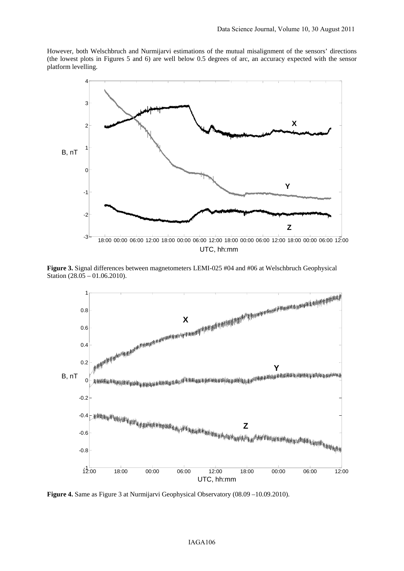However, both Welschbruch and Nurmijarvi estimations of the mutual misalignment of the sensors' directions (the lowest plots in Figures 5 and 6) are well below 0.5 degrees of arc, an accuracy expected with the sensor platform levelling.



**Figure 3.** Signal differences between magnetometers LEMI-025 #04 and #06 at Welschbruch Geophysical Station (28.05 – 01.06.2010).



**Figure 4.** Same as Figure 3 at Nurmijarvi Geophysical Observatory (08.09 –10.09.2010).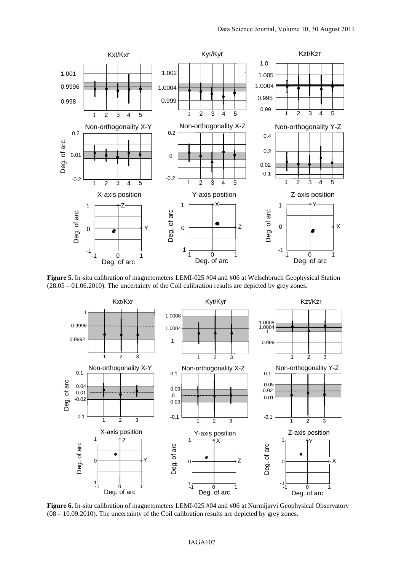

**Figure 5.** In-situ calibration of magnetometers LEMI-025 #04 and #06 at Welschbruch Geophysical Station (28.05 – 01.06.2010). The uncertainty of the Coil calibration results are depicted by grey zones.



**Figure 6.** In-situ calibration of magnetometers LEMI-025 #04 and #06 at Nurmijarvi Geophysical Observatory (08 – 10.09.2010). The uncertainty of the Coil calibration results are depicted by grey zones.

#### IAGA107